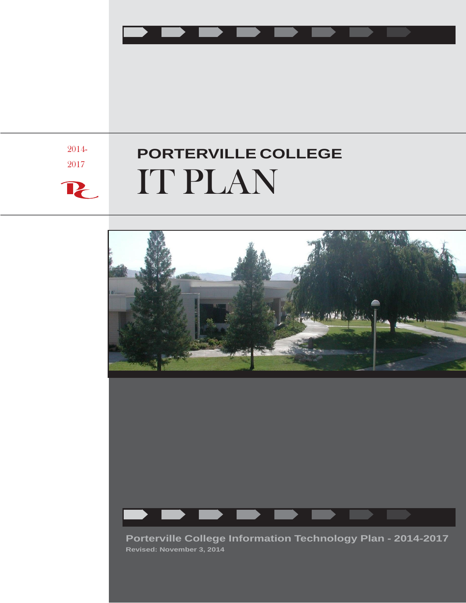

2014- 2017

 $\mathbf{P}_{\!\!\mathsf{C}}$ 

# **PORTERVILLE COLLEGE** IT PLAN



**Porterville College Information Technology Plan - 2014-2017 Revised: November 3, 2014**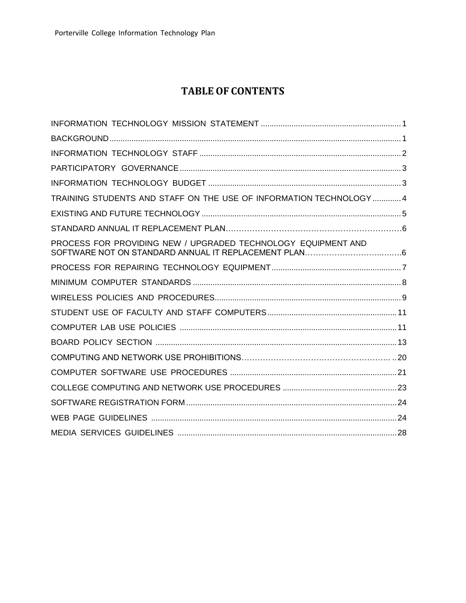# **TABLE OF CONTENTS**

| TRAINING STUDENTS AND STAFF ON THE USE OF INFORMATION TECHNOLOGY  4 |  |
|---------------------------------------------------------------------|--|
|                                                                     |  |
|                                                                     |  |
| PROCESS FOR PROVIDING NEW / UPGRADED TECHNOLOGY EQUIPMENT AND       |  |
|                                                                     |  |
|                                                                     |  |
|                                                                     |  |
|                                                                     |  |
|                                                                     |  |
|                                                                     |  |
|                                                                     |  |
|                                                                     |  |
|                                                                     |  |
|                                                                     |  |
|                                                                     |  |
|                                                                     |  |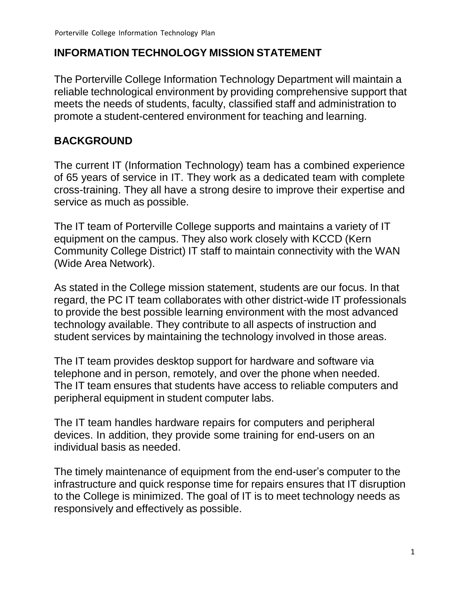#### <span id="page-2-0"></span>**INFORMATION TECHNOLOGY MISSION STATEMENT**

The Porterville College Information Technology Department will maintain a reliable technological environment by providing comprehensive support that meets the needs of students, faculty, classified staff and administration to promote a student-centered environment for teaching and learning.

#### <span id="page-2-1"></span>**BACKGROUND**

The current IT (Information Technology) team has a combined experience of 65 years of service in IT. They work as a dedicated team with complete cross-training. They all have a strong desire to improve their expertise and service as much as possible.

The IT team of Porterville College supports and maintains a variety of IT equipment on the campus. They also work closely with KCCD (Kern Community College District) IT staff to maintain connectivity with the WAN (Wide Area Network).

As stated in the College mission statement, students are our focus. In that regard, the PC IT team collaborates with other district-wide IT professionals to provide the best possible learning environment with the most advanced technology available. They contribute to all aspects of instruction and student services by maintaining the technology involved in those areas.

The IT team provides desktop support for hardware and software via telephone and in person, remotely, and over the phone when needed. The IT team ensures that students have access to reliable computers and peripheral equipment in student computer labs.

The IT team handles hardware repairs for computers and peripheral devices. In addition, they provide some training for end-users on an individual basis as needed.

The timely maintenance of equipment from the end-user's computer to the infrastructure and quick response time for repairs ensures that IT disruption to the College is minimized. The goal of IT is to meet technology needs as responsively and effectively as possible.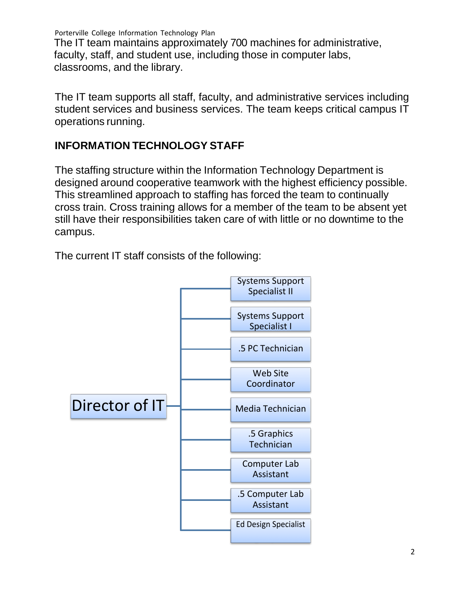The IT team maintains approximately 700 machines for administrative, faculty, staff, and student use, including those in computer labs, classrooms, and the library.

The IT team supports all staff, faculty, and administrative services including student services and business services. The team keeps critical campus IT operations running.

#### <span id="page-3-0"></span>**INFORMATION TECHNOLOGY STAFF**

The staffing structure within the Information Technology Department is designed around cooperative teamwork with the highest efficiency possible. This streamlined approach to staffing has forced the team to continually cross train. Cross training allows for a member of the team to be absent yet still have their responsibilities taken care of with little or no downtime to the campus.

The current IT staff consists of the following:

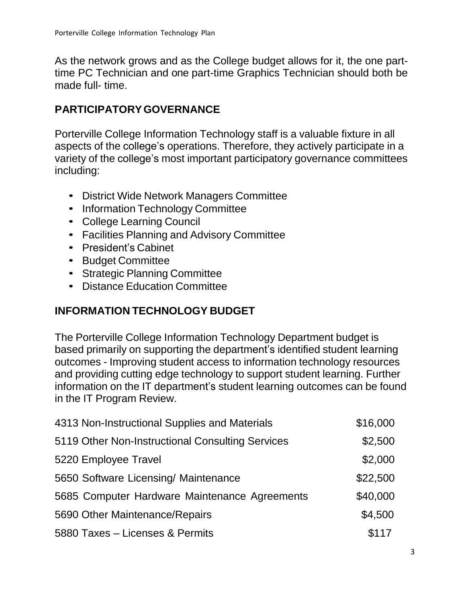As the network grows and as the College budget allows for it, the one parttime PC Technician and one part-time Graphics Technician should both be made full- time.

# <span id="page-4-0"></span>**PARTICIPATORYGOVERNANCE**

Porterville College Information Technology staff is a valuable fixture in all aspects of the college's operations. Therefore, they actively participate in a variety of the college's most important participatory governance committees including:

- District Wide Network Managers Committee
- Information Technology Committee
- College Learning Council
- Facilities Planning and Advisory Committee
- President's Cabinet
- Budget Committee
- Strategic Planning Committee
- Distance Education Committee

# <span id="page-4-1"></span>**INFORMATION TECHNOLOGY BUDGET**

The Porterville College Information Technology Department budget is based primarily on supporting the department's identified student learning outcomes - Improving student access to information technology resources and providing cutting edge technology to support student learning. Further information on the IT department's student learning outcomes can be found in the IT Program Review.

| 4313 Non-Instructional Supplies and Materials    | \$16,000 |
|--------------------------------------------------|----------|
| 5119 Other Non-Instructional Consulting Services | \$2,500  |
| 5220 Employee Travel                             | \$2,000  |
| 5650 Software Licensing/ Maintenance             | \$22,500 |
| 5685 Computer Hardware Maintenance Agreements    | \$40,000 |
| 5690 Other Maintenance/Repairs                   | \$4,500  |
| 5880 Taxes - Licenses & Permits                  | \$117    |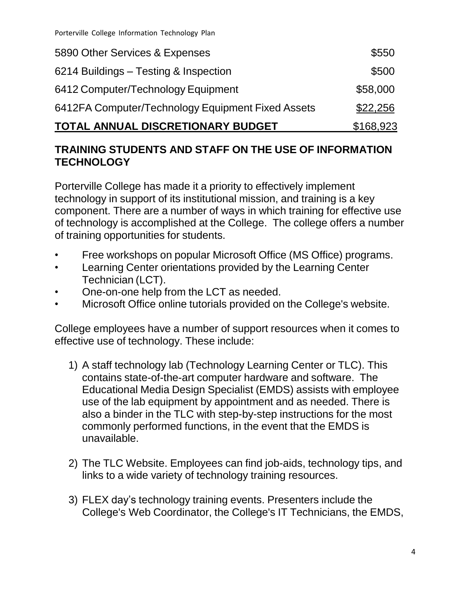| TOTAL ANNUAL DISCRETIONARY BUDGET                 | \$168,923 |  |
|---------------------------------------------------|-----------|--|
| 6412FA Computer/Technology Equipment Fixed Assets | \$22,256  |  |
| 6412 Computer/Technology Equipment                | \$58,000  |  |
| 6214 Buildings - Testing & Inspection             | \$500     |  |
| 5890 Other Services & Expenses                    | \$550     |  |

#### **TRAINING STUDENTS AND STAFF ON THE USE OF INFORMATION TECHNOLOGY**

Porterville College has made it a priority to effectively implement technology in support of its institutional mission, and training is a key component. There are a number of ways in which training for effective use of technology is accomplished at the College. The college offers a number of training opportunities for students.

- Free workshops on popular Microsoft Office (MS Office) programs.
- Learning Center orientations provided by the Learning Center Technician (LCT).
- One-on-one help from the LCT as needed.
- Microsoft Office online tutorials provided on the College's website.

College employees have a number of support resources when it comes to effective use of technology. These include:

- 1) A staff technology lab (Technology Learning Center or TLC). This contains state-of-the-art computer hardware and software. The Educational Media Design Specialist (EMDS) assists with employee use of the lab equipment by appointment and as needed. There is also a binder in the TLC with step-by-step instructions for the most commonly performed functions, in the event that the EMDS is unavailable.
- 2) The TLC Website. Employees can find job-aids, technology tips, and links to a wide variety of technology training resources.
- 3) FLEX day's technology training events. Presenters include the College's Web Coordinator, the College's IT Technicians, the EMDS,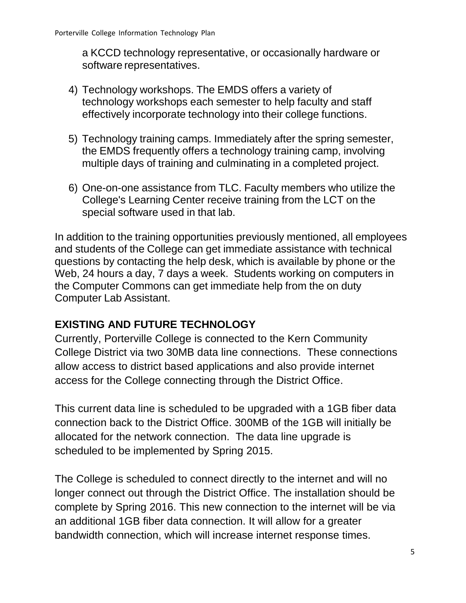a KCCD technology representative, or occasionally hardware or software representatives.

- 4) Technology workshops. The EMDS offers a variety of technology workshops each semester to help faculty and staff effectively incorporate technology into their college functions.
- 5) Technology training camps. Immediately after the spring semester, the EMDS frequently offers a technology training camp, involving multiple days of training and culminating in a completed project.
- 6) One-on-one assistance from TLC. Faculty members who utilize the College's Learning Center receive training from the LCT on the special software used in that lab.

In addition to the training opportunities previously mentioned, all employees and students of the College can get immediate assistance with technical questions by contacting the help desk, which is available by phone or the Web, 24 hours a day, 7 days a week. Students working on computers in the Computer Commons can get immediate help from the on duty Computer Lab Assistant.

# **EXISTING AND FUTURE TECHNOLOGY**

Currently, Porterville College is connected to the Kern Community College District via two 30MB data line connections. These connections allow access to district based applications and also provide internet access for the College connecting through the District Office.

This current data line is scheduled to be upgraded with a 1GB fiber data connection back to the District Office. 300MB of the 1GB will initially be allocated for the network connection. The data line upgrade is scheduled to be implemented by Spring 2015.

The College is scheduled to connect directly to the internet and will no longer connect out through the District Office. The installation should be complete by Spring 2016. This new connection to the internet will be via an additional 1GB fiber data connection. It will allow for a greater bandwidth connection, which will increase internet response times.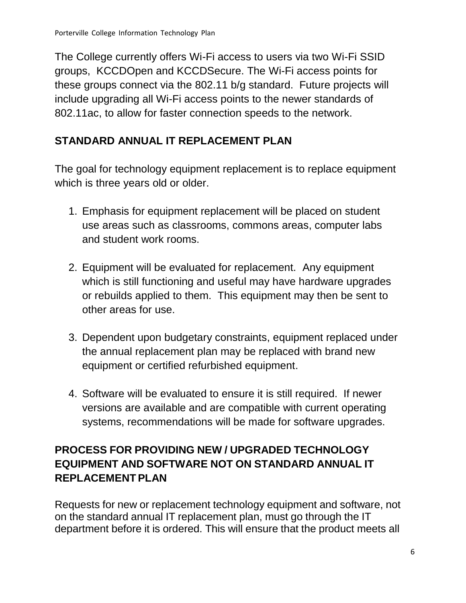The College currently offers Wi-Fi access to users via two Wi-Fi SSID groups, KCCDOpen and KCCDSecure. The Wi-Fi access points for these groups connect via the 802.11 b/g standard. Future projects will include upgrading all Wi-Fi access points to the newer standards of 802.11ac, to allow for faster connection speeds to the network.

# **STANDARD ANNUAL IT REPLACEMENT PLAN**

The goal for technology equipment replacement is to replace equipment which is three years old or older.

- 1. Emphasis for equipment replacement will be placed on student use areas such as classrooms, commons areas, computer labs and student work rooms.
- 2. Equipment will be evaluated for replacement. Any equipment which is still functioning and useful may have hardware upgrades or rebuilds applied to them. This equipment may then be sent to other areas for use.
- 3. Dependent upon budgetary constraints, equipment replaced under the annual replacement plan may be replaced with brand new equipment or certified refurbished equipment.
- 4. Software will be evaluated to ensure it is still required. If newer versions are available and are compatible with current operating systems, recommendations will be made for software upgrades.

# **PROCESS FOR PROVIDING NEW / UPGRADED TECHNOLOGY EQUIPMENT AND SOFTWARE NOT ON STANDARD ANNUAL IT REPLACEMENT PLAN**

Requests for new or replacement technology equipment and software, not on the standard annual IT replacement plan, must go through the IT department before it is ordered. This will ensure that the product meets all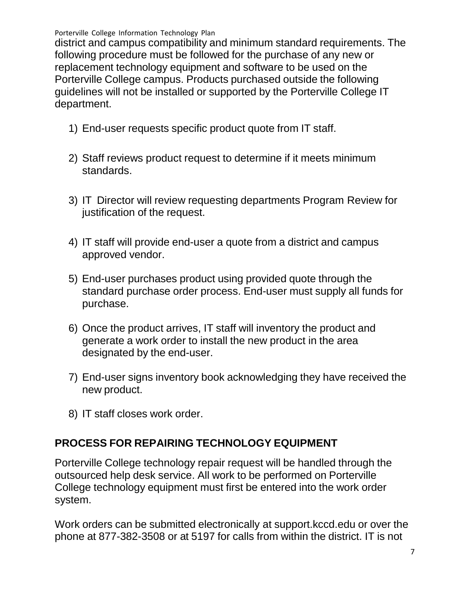district and campus compatibility and minimum standard requirements. The following procedure must be followed for the purchase of any new or replacement technology equipment and software to be used on the Porterville College campus. Products purchased outside the following guidelines will not be installed or supported by the Porterville College IT department.

- 1) End-user requests specific product quote from IT staff.
- 2) Staff reviews product request to determine if it meets minimum standards.
- 3) IT Director will review requesting departments Program Review for justification of the request.
- 4) IT staff will provide end-user a quote from a district and campus approved vendor.
- 5) End-user purchases product using provided quote through the standard purchase order process. End-user must supply all funds for purchase.
- 6) Once the product arrives, IT staff will inventory the product and generate a work order to install the new product in the area designated by the end-user.
- 7) End-user signs inventory book acknowledging they have received the new product.
- 8) IT staff closes work order.

#### <span id="page-8-0"></span>**PROCESS FOR REPAIRING TECHNOLOGY EQUIPMENT**

Porterville College technology repair request will be handled through the outsourced help desk service. All work to be performed on Porterville College technology equipment must first be entered into the work order system.

Work orders can be submitted electronically at support.kccd.edu or over the phone at 877-382-3508 or at 5197 for calls from within the district. IT is not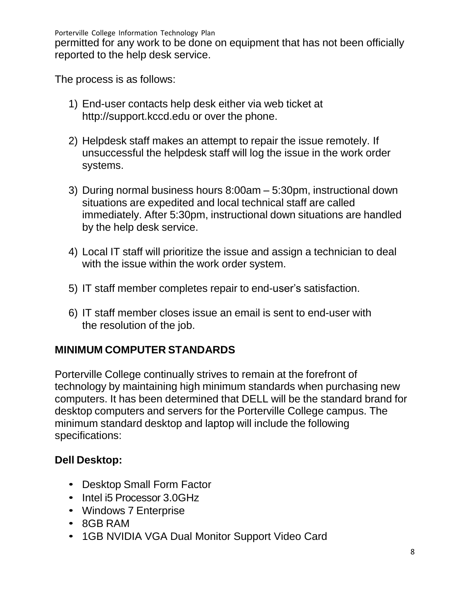permitted for any work to be done on equipment that has not been officially reported to the help desk service.

The process is as follows:

- 1) End-user contacts help desk either via web ticket a[t](http://support.kccd.edu/) [http://support.kccd.edu](http://support.kccd.edu/) or over the phone.
- 2) Helpdesk staff makes an attempt to repair the issue remotely. If unsuccessful the helpdesk staff will log the issue in the work order systems.
- 3) During normal business hours 8:00am 5:30pm, instructional down situations are expedited and local technical staff are called immediately. After 5:30pm, instructional down situations are handled by the help desk service.
- 4) Local IT staff will prioritize the issue and assign a technician to deal with the issue within the work order system.
- 5) IT staff member completes repair to end-user's satisfaction.
- 6) IT staff member closes issue an email is sent to end-user with the resolution of the job.

#### <span id="page-9-0"></span>**MINIMUM COMPUTER STANDARDS**

Porterville College continually strives to remain at the forefront of technology by maintaining high minimum standards when purchasing new computers. It has been determined that DELL will be the standard brand for desktop computers and servers for the Porterville College campus. The minimum standard desktop and laptop will include the following specifications:

# **Dell Desktop:**

- Desktop Small Form Factor
- Intel i5 Processor 3.0GHz
- Windows 7 Enterprise
- 8GB RAM
- 1GB NVIDIA VGA Dual Monitor Support Video Card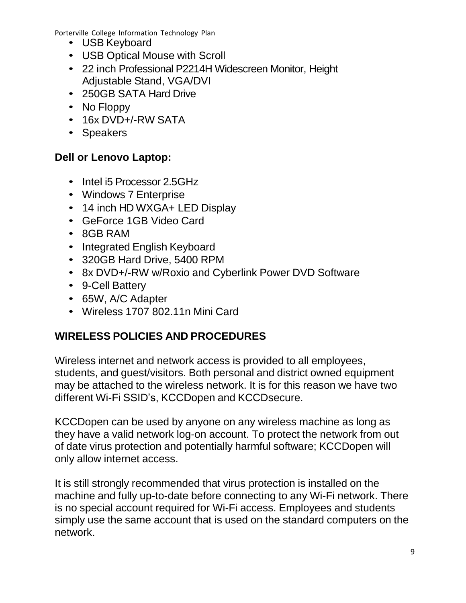- USB Keyboard
- USB Optical Mouse with Scroll
- 22 inch Professional P2214H Widescreen Monitor, Height Adjustable Stand, VGA/DVI
- 250GB SATA Hard Drive
- No Floppy
- 16x DVD+/-RW SATA
- Speakers

# **Dell or Lenovo Laptop:**

- Intel i5 Processor 2.5GHz
- Windows 7 Enterprise
- 14 inch HD WXGA+ LED Display
- GeForce 1GB Video Card
- 8GB RAM
- Integrated English Keyboard
- 320GB Hard Drive, 5400 RPM
- 8x DVD+/-RW w/Roxio and Cyberlink Power DVD Software
- 9-Cell Battery
- 65W, A/C Adapter
- Wireless 1707 802.11n Mini Card

# <span id="page-10-0"></span>**WIRELESS POLICIES AND PROCEDURES**

Wireless internet and network access is provided to all employees, students, and guest/visitors. Both personal and district owned equipment may be attached to the wireless network. It is for this reason we have two different Wi-Fi SSID's, KCCDopen and KCCDsecure.

KCCDopen can be used by anyone on any wireless machine as long as they have a valid network log-on account. To protect the network from out of date virus protection and potentially harmful software; KCCDopen will only allow internet access.

It is still strongly recommended that virus protection is installed on the machine and fully up-to-date before connecting to any Wi-Fi network. There is no special account required for Wi-Fi access. Employees and students simply use the same account that is used on the standard computers on the network.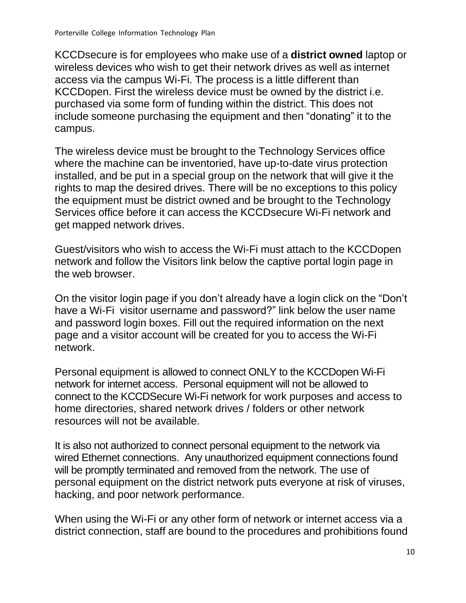KCCDsecure is for employees who make use of a **district owned** laptop or wireless devices who wish to get their network drives as well as internet access via the campus Wi-Fi. The process is a little different than KCCDopen. First the wireless device must be owned by the district i.e. purchased via some form of funding within the district. This does not include someone purchasing the equipment and then "donating" it to the campus.

The wireless device must be brought to the Technology Services office where the machine can be inventoried, have up-to-date virus protection installed, and be put in a special group on the network that will give it the rights to map the desired drives. There will be no exceptions to this policy the equipment must be district owned and be brought to the Technology Services office before it can access the KCCDsecure Wi-Fi network and get mapped network drives.

Guest/visitors who wish to access the Wi-Fi must attach to the KCCDopen network and follow the Visitors link below the captive portal login page in the web browser.

On the visitor login page if you don't already have a login click on the "Don't have a Wi-Fi visitor username and password?" link below the user name and password login boxes. Fill out the required information on the next page and a visitor account will be created for you to access the Wi-Fi network.

Personal equipment is allowed to connect ONLY to the KCCDopen Wi-Fi network for internet access. Personal equipment will not be allowed to connect to the KCCDSecure Wi-Fi network for work purposes and access to home directories, shared network drives / folders or other network resources will not be available.

It is also not authorized to connect personal equipment to the network via wired Ethernet connections. Any unauthorized equipment connections found will be promptly terminated and removed from the network. The use of personal equipment on the district network puts everyone at risk of viruses, hacking, and poor network performance.

When using the Wi-Fi or any other form of network or internet access via a district connection, staff are bound to the procedures and prohibitions found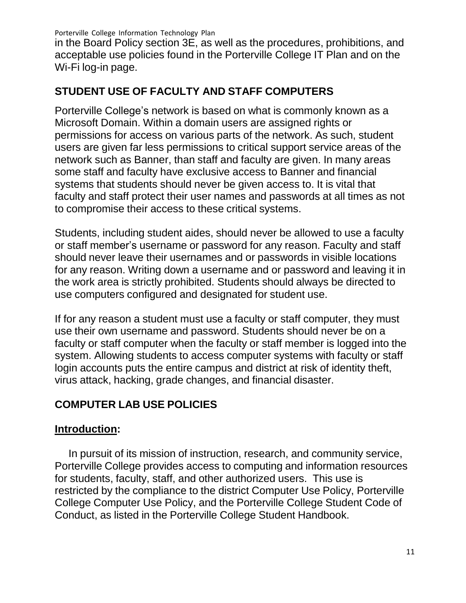in the Board Policy section 3E, as well as the procedures, prohibitions, and acceptable use policies found in the Porterville College IT Plan and on the Wi-Fi log-in page.

# <span id="page-12-0"></span>**STUDENT USE OF FACULTY AND STAFF COMPUTERS**

Porterville College's network is based on what is commonly known as a Microsoft Domain. Within a domain users are assigned rights or permissions for access on various parts of the network. As such, student users are given far less permissions to critical support service areas of the network such as Banner, than staff and faculty are given. In many areas some staff and faculty have exclusive access to Banner and financial systems that students should never be given access to. It is vital that faculty and staff protect their user names and passwords at all times as not to compromise their access to these critical systems.

Students, including student aides, should never be allowed to use a faculty or staff member's username or password for any reason. Faculty and staff should never leave their usernames and or passwords in visible locations for any reason. Writing down a username and or password and leaving it in the work area is strictly prohibited. Students should always be directed to use computers configured and designated for student use.

If for any reason a student must use a faculty or staff computer, they must use their own username and password. Students should never be on a faculty or staff computer when the faculty or staff member is logged into the system. Allowing students to access computer systems with faculty or staff login accounts puts the entire campus and district at risk of identity theft, virus attack, hacking, grade changes, and financial disaster.

# <span id="page-12-1"></span>**COMPUTER LAB USE POLICIES**

# **Introduction:**

In pursuit of its mission of instruction, research, and community service, Porterville College provides access to computing and information resources for students, faculty, staff, and other authorized users. This use is restricted by the compliance to the district Computer Use Policy, Porterville College Computer Use Policy, and the Porterville College Student Code of Conduct, as listed in the Porterville College Student Handbook.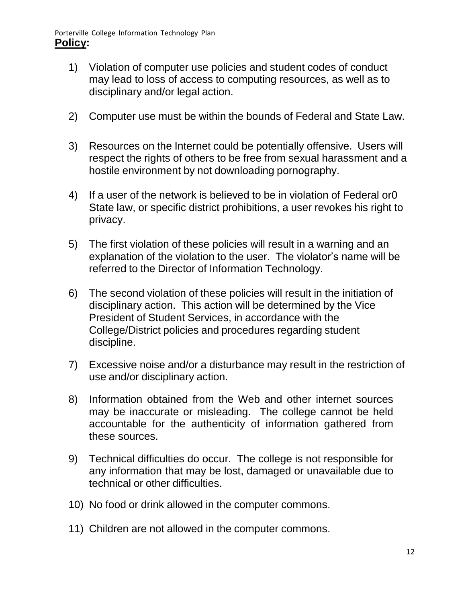- 1) Violation of computer use policies and student codes of conduct may lead to loss of access to computing resources, as well as to disciplinary and/or legal action.
- 2) Computer use must be within the bounds of Federal and State Law.
- 3) Resources on the Internet could be potentially offensive. Users will respect the rights of others to be free from sexual harassment and a hostile environment by not downloading pornography.
- 4) If a user of the network is believed to be in violation of Federal or0 State law, or specific district prohibitions, a user revokes his right to privacy.
- 5) The first violation of these policies will result in a warning and an explanation of the violation to the user. The violator's name will be referred to the Director of Information Technology.
- 6) The second violation of these policies will result in the initiation of disciplinary action. This action will be determined by the Vice President of Student Services, in accordance with the College/District policies and procedures regarding student discipline.
- 7) Excessive noise and/or a disturbance may result in the restriction of use and/or disciplinary action.
- 8) Information obtained from the Web and other internet sources may be inaccurate or misleading. The college cannot be held accountable for the authenticity of information gathered from these sources.
- 9) Technical difficulties do occur. The college is not responsible for any information that may be lost, damaged or unavailable due to technical or other difficulties.
- 10) No food or drink allowed in the computer commons.
- 11) Children are not allowed in the computer commons.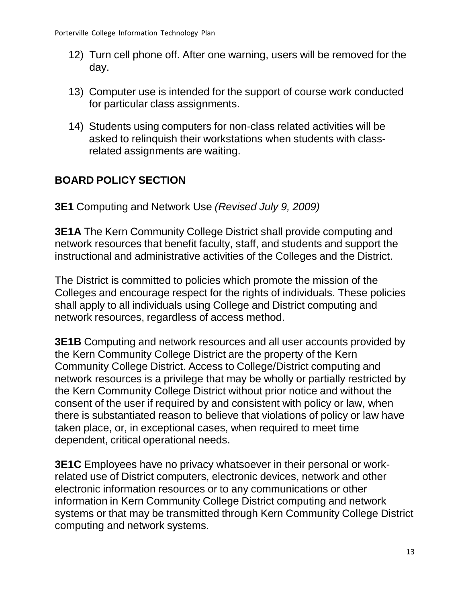- 12) Turn cell phone off. After one warning, users will be removed for the day.
- 13) Computer use is intended for the support of course work conducted for particular class assignments.
- 14) Students using computers for non-class related activities will be asked to relinquish their workstations when students with classrelated assignments are waiting.

# <span id="page-14-0"></span>**BOARD POLICY SECTION**

**3E1** Computing and Network Use *(Revised July 9, 2009)*

**3E1A** The Kern Community College District shall provide computing and network resources that benefit faculty, staff, and students and support the instructional and administrative activities of the Colleges and the District.

The District is committed to policies which promote the mission of the Colleges and encourage respect for the rights of individuals. These policies shall apply to all individuals using College and District computing and network resources, regardless of access method.

**3E1B** Computing and network resources and all user accounts provided by the Kern Community College District are the property of the Kern Community College District. Access to College/District computing and network resources is a privilege that may be wholly or partially restricted by the Kern Community College District without prior notice and without the consent of the user if required by and consistent with policy or law, when there is substantiated reason to believe that violations of policy or law have taken place, or, in exceptional cases, when required to meet time dependent, critical operational needs.

**3E1C** Employees have no privacy whatsoever in their personal or workrelated use of District computers, electronic devices, network and other electronic information resources or to any communications or other information in Kern Community College District computing and network systems or that may be transmitted through Kern Community College District computing and network systems.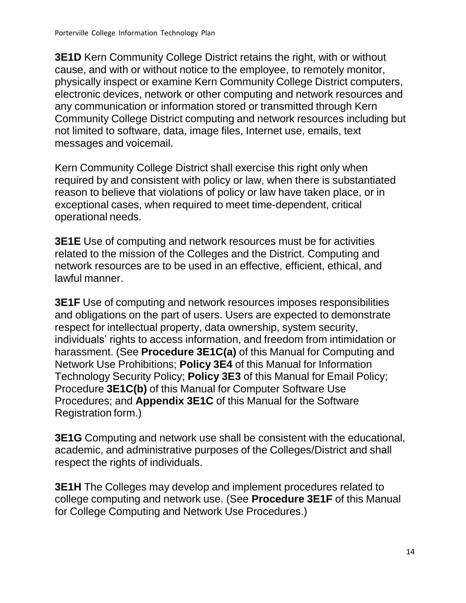**3E1D** Kern Community College District retains the right, with or without cause, and with or without notice to the employee, to remotely monitor, physically inspect or examine Kern Community College District computers, electronic devices, network or other computing and network resources and any communication or information stored or transmitted through Kern Community College District computing and network resources including but not limited to software, data, image files, Internet use, emails, text messages and voicemail.

Kern Community College District shall exercise this right only when required by and consistent with policy or law, when there is substantiated reason to believe that violations of policy or law have taken place, or in exceptional cases, when required to meet time-dependent, critical operational needs.

**3E1E** Use of computing and network resources must be for activities related to the mission of the Colleges and the District. Computing and network resources are to be used in an effective, efficient, ethical, and lawful manner.

**3E1F** Use of computing and network resources imposes responsibilities and obligations on the part of users. Users are expected to demonstrate respect for intellectual property, data ownership, system security, individuals' rights to access information, and freedom from intimidation or harassment. (See **Procedure 3E1C(a)** of this Manual for Computing and Network Use Prohibitions; **Policy 3E4** of this Manual for Information Technology Security Policy; **Policy 3E3** of this Manual for Email Policy; Procedure **3E1C(b)** of this Manual for Computer Software Use Procedures; and **Appendix 3E1C** of this Manual for the Software Registration form.)

**3E1G** Computing and network use shall be consistent with the educational, academic, and administrative purposes of the Colleges/District and shall respect the rights of individuals.

**3E1H** The Colleges may develop and implement procedures related to college computing and network use. (See **Procedure 3E1F** of this Manual for College Computing and Network Use Procedures.)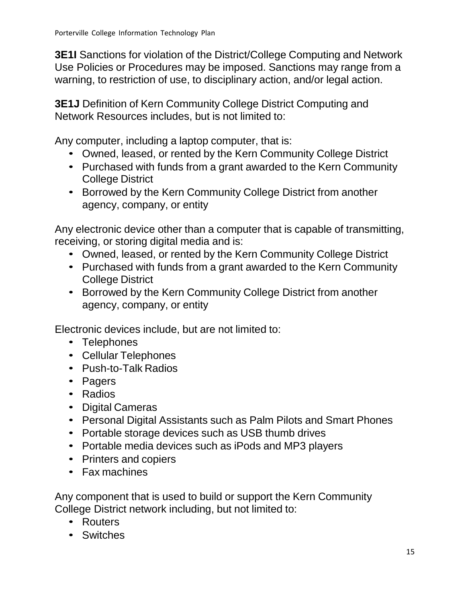**3E1I** Sanctions for violation of the District/College Computing and Network Use Policies or Procedures may be imposed. Sanctions may range from a warning, to restriction of use, to disciplinary action, and/or legal action.

**3E1J** Definition of Kern Community College District Computing and Network Resources includes, but is not limited to:

Any computer, including a laptop computer, that is:

- Owned, leased, or rented by the Kern Community College District
- Purchased with funds from a grant awarded to the Kern Community College District
- Borrowed by the Kern Community College District from another agency, company, or entity

Any electronic device other than a computer that is capable of transmitting, receiving, or storing digital media and is:

- Owned, leased, or rented by the Kern Community College District
- Purchased with funds from a grant awarded to the Kern Community College District
- Borrowed by the Kern Community College District from another agency, company, or entity

Electronic devices include, but are not limited to:

- Telephones
- Cellular Telephones
- Push-to-Talk Radios
- Pagers
- Radios
- Digital Cameras
- Personal Digital Assistants such as Palm Pilots and Smart Phones
- Portable storage devices such as USB thumb drives
- Portable media devices such as iPods and MP3 players
- Printers and copiers
- Fax machines

Any component that is used to build or support the Kern Community College District network including, but not limited to:

- Routers
- Switches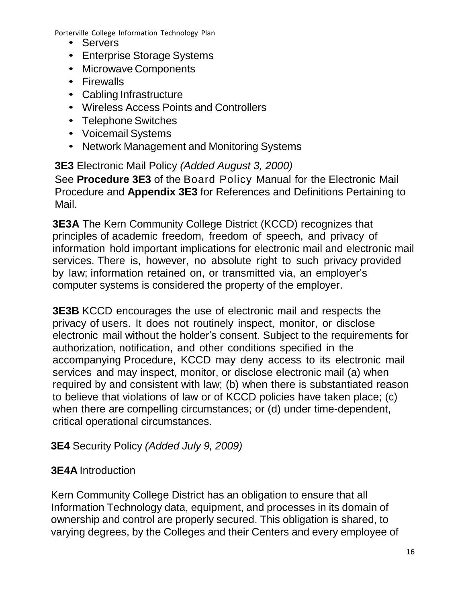- Servers
- Enterprise Storage Systems
- Microwave Components
- Firewalls
- Cabling Infrastructure
- Wireless Access Points and Controllers
- Telephone Switches
- Voicemail Systems
- Network Management and Monitoring Systems

**3E3** Electronic Mail Policy *(Added August 3, 2000)* See **Procedure 3E3** of the Board Policy Manual for the Electronic Mail Procedure and **Appendix 3E3** for References and Definitions Pertaining to Mail.

**3E3A** The Kern Community College District (KCCD) recognizes that principles of academic freedom, freedom of speech, and privacy of information hold important implications for electronic mail and electronic mail services. There is, however, no absolute right to such privacy provided by law; information retained on, or transmitted via, an employer's computer systems is considered the property of the employer.

**3E3B** KCCD encourages the use of electronic mail and respects the privacy of users. It does not routinely inspect, monitor, or disclose electronic mail without the holder's consent. Subject to the requirements for authorization, notification, and other conditions specified in the accompanying Procedure, KCCD may deny access to its electronic mail services and may inspect, monitor, or disclose electronic mail (a) when required by and consistent with law; (b) when there is substantiated reason to believe that violations of law or of KCCD policies have taken place; (c) when there are compelling circumstances; or (d) under time-dependent, critical operational circumstances.

# **3E4** Security Policy *(Added July 9, 2009)*

# **3E4A** Introduction

Kern Community College District has an obligation to ensure that all Information Technology data, equipment, and processes in its domain of ownership and control are properly secured. This obligation is shared, to varying degrees, by the Colleges and their Centers and every employee of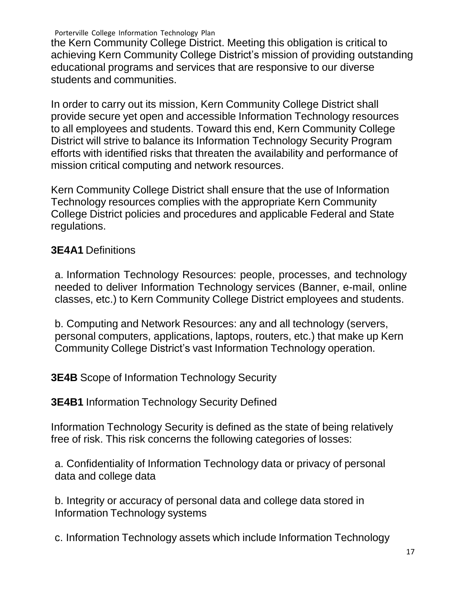the Kern Community College District. Meeting this obligation is critical to achieving Kern Community College District's mission of providing outstanding educational programs and services that are responsive to our diverse students and communities.

In order to carry out its mission, Kern Community College District shall provide secure yet open and accessible Information Technology resources to all employees and students. Toward this end, Kern Community College District will strive to balance its Information Technology Security Program efforts with identified risks that threaten the availability and performance of mission critical computing and network resources.

Kern Community College District shall ensure that the use of Information Technology resources complies with the appropriate Kern Community College District policies and procedures and applicable Federal and State regulations.

#### **3E4A1** Definitions

a. Information Technology Resources: people, processes, and technology needed to deliver Information Technology services (Banner, e-mail, online classes, etc.) to Kern Community College District employees and students.

b. Computing and Network Resources: any and all technology (servers, personal computers, applications, laptops, routers, etc.) that make up Kern Community College District's vast Information Technology operation.

**3E4B** Scope of Information Technology Security

**3E4B1** Information Technology Security Defined

Information Technology Security is defined as the state of being relatively free of risk. This risk concerns the following categories of losses:

a. Confidentiality of Information Technology data or privacy of personal data and college data

b. Integrity or accuracy of personal data and college data stored in Information Technology systems

c. Information Technology assets which include Information Technology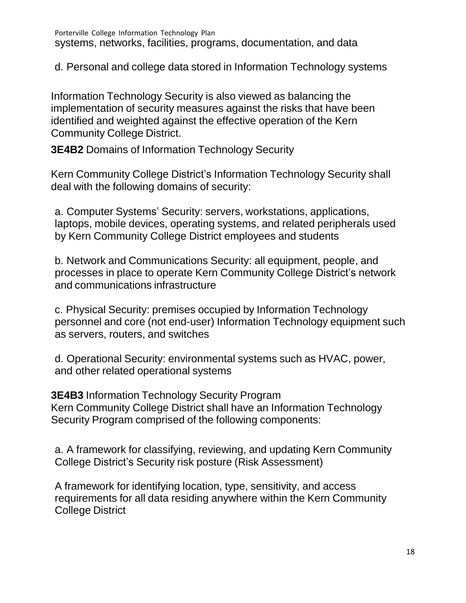d. Personal and college data stored in Information Technology systems

Information Technology Security is also viewed as balancing the implementation of security measures against the risks that have been identified and weighted against the effective operation of the Kern Community College District.

**3E4B2** Domains of Information Technology Security

Kern Community College District's Information Technology Security shall deal with the following domains of security:

a. Computer Systems' Security: servers, workstations, applications, laptops, mobile devices, operating systems, and related peripherals used by Kern Community College District employees and students

b. Network and Communications Security: all equipment, people, and processes in place to operate Kern Community College District's network and communications infrastructure

c. Physical Security: premises occupied by Information Technology personnel and core (not end-user) Information Technology equipment such as servers, routers, and switches

d. Operational Security: environmental systems such as HVAC, power, and other related operational systems

**3E4B3** Information Technology Security Program Kern Community College District shall have an Information Technology Security Program comprised of the following components:

a. A framework for classifying, reviewing, and updating Kern Community College District's Security risk posture (Risk Assessment)

A framework for identifying location, type, sensitivity, and access requirements for all data residing anywhere within the Kern Community College District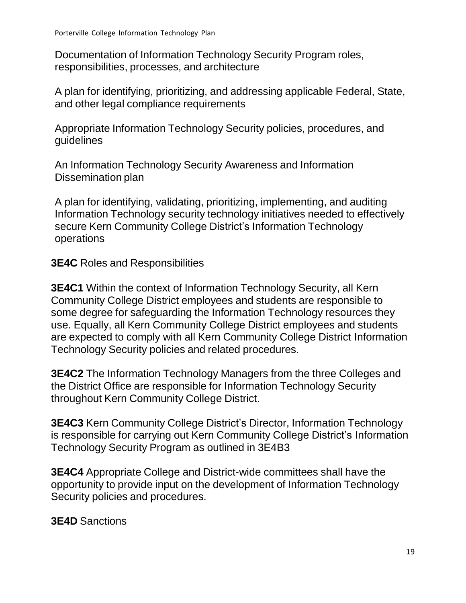Documentation of Information Technology Security Program roles, responsibilities, processes, and architecture

A plan for identifying, prioritizing, and addressing applicable Federal, State, and other legal compliance requirements

Appropriate Information Technology Security policies, procedures, and guidelines

An Information Technology Security Awareness and Information Dissemination plan

A plan for identifying, validating, prioritizing, implementing, and auditing Information Technology security technology initiatives needed to effectively secure Kern Community College District's Information Technology operations

**3E4C** Roles and Responsibilities

**3E4C1** Within the context of Information Technology Security, all Kern Community College District employees and students are responsible to some degree for safeguarding the Information Technology resources they use. Equally, all Kern Community College District employees and students are expected to comply with all Kern Community College District Information Technology Security policies and related procedures.

**3E4C2** The Information Technology Managers from the three Colleges and the District Office are responsible for Information Technology Security throughout Kern Community College District.

**3E4C3** Kern Community College District's Director, Information Technology is responsible for carrying out Kern Community College District's Information Technology Security Program as outlined in 3E4B3

**3E4C4** Appropriate College and District-wide committees shall have the opportunity to provide input on the development of Information Technology Security policies and procedures.

**3E4D** Sanctions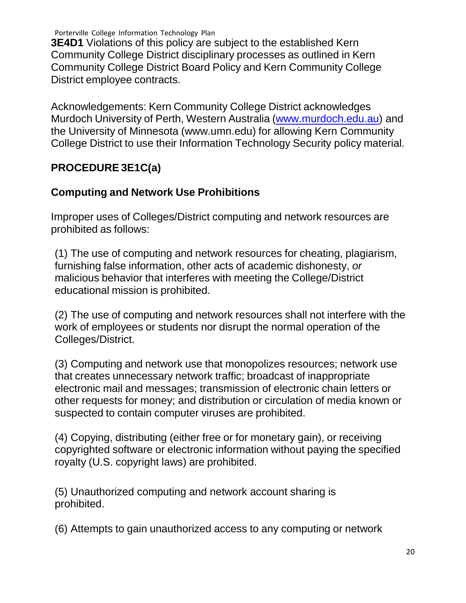**3E4D1** Violations of this policy are subject to the established Kern Community College District disciplinary processes as outlined in Kern Community College District Board Policy and Kern Community College District employee contracts.

Acknowledgements: Kern Community College District acknowledges Murdoch University of Perth, Western Australia [\(www.murdoch.edu.au\)](http://www.murdoch.edu.au/) and the University of Minnesota (www.umn.edu) for allowing Kern Community College District to use their Information Technology Security policy material.

#### **PROCEDURE 3E1C(a)**

#### **Computing and Network Use Prohibitions**

Improper uses of Colleges/District computing and network resources are prohibited as follows:

(1) The use of computing and network resources for cheating, plagiarism, furnishing false information, other acts of academic dishonesty, *or* malicious behavior that interferes with meeting the College/District educational mission is prohibited.

(2) The use of computing and network resources shall not interfere with the work of employees or students nor disrupt the normal operation of the Colleges/District.

(3) Computing and network use that monopolizes resources; network use that creates unnecessary network traffic; broadcast of inappropriate electronic mail and messages; transmission of electronic chain letters or other requests for money; and distribution or circulation of media known or suspected to contain computer viruses are prohibited.

(4) Copying, distributing (either free or for monetary gain), or receiving copyrighted software or electronic information without paying the specified royalty (U.S. copyright laws) are prohibited.

(5) Unauthorized computing and network account sharing is prohibited.

(6) Attempts to gain unauthorized access to any computing or network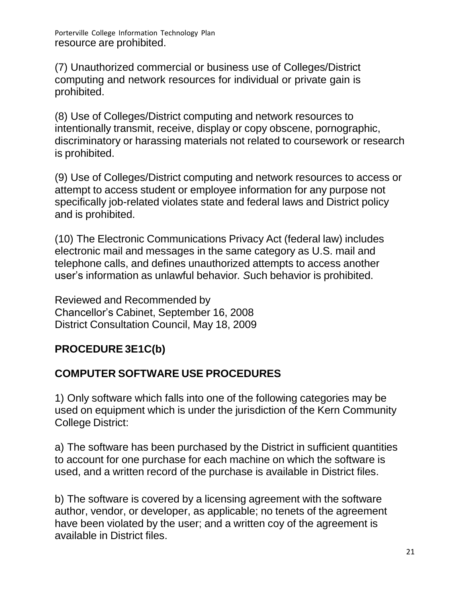(7) Unauthorized commercial or business use of Colleges/District computing and network resources for individual or private gain is prohibited.

(8) Use of Colleges/District computing and network resources to intentionally transmit, receive, display or copy obscene, pornographic, discriminatory or harassing materials not related to coursework or research is prohibited.

(9) Use of Colleges/District computing and network resources to access or attempt to access student or employee information for any purpose not specifically job-related violates state and federal laws and District policy and is prohibited.

(10) The Electronic Communications Privacy Act (federal law) includes electronic mail and messages in the same category as U.S. mail and telephone calls, and defines unauthorized attempts to access another user's information as unlawful behavior*. S*uch behavior is prohibited.

Reviewed and Recommended by Chancellor's Cabinet, September 16, 2008 District Consultation Council, May 18, 2009

# **PROCEDURE 3E1C(b)**

# <span id="page-22-0"></span>**COMPUTER SOFTWARE USE PROCEDURES**

1) Only software which falls into one of the following categories may be used on equipment which is under the jurisdiction of the Kern Community College District:

a) The software has been purchased by the District in sufficient quantities to account for one purchase for each machine on which the software is used, and a written record of the purchase is available in District files.

b) The software is covered by a licensing agreement with the software author, vendor, or developer, as applicable; no tenets of the agreement have been violated by the user; and a written coy of the agreement is available in District files.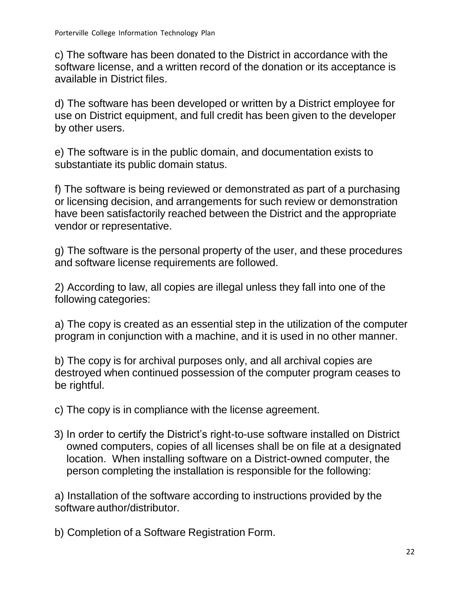c) The software has been donated to the District in accordance with the software license, and a written record of the donation or its acceptance is available in District files.

d) The software has been developed or written by a District employee for use on District equipment, and full credit has been given to the developer by other users.

e) The software is in the public domain, and documentation exists to substantiate its public domain status.

f) The software is being reviewed or demonstrated as part of a purchasing or licensing decision, and arrangements for such review or demonstration have been satisfactorily reached between the District and the appropriate vendor or representative.

g) The software is the personal property of the user, and these procedures and software license requirements are followed.

2) According to law, all copies are illegal unless they fall into one of the following categories:

a) The copy is created as an essential step in the utilization of the computer program in conjunction with a machine, and it is used in no other manner.

b) The copy is for archival purposes only, and all archival copies are destroyed when continued possession of the computer program ceases to be rightful.

c) The copy is in compliance with the license agreement.

3) In order to certify the District's right-to-use software installed on District owned computers, copies of all licenses shall be on file at a designated location. When installing software on a District-owned computer, the person completing the installation is responsible for the following:

a) Installation of the software according to instructions provided by the software author/distributor.

b) Completion of a Software Registration Form.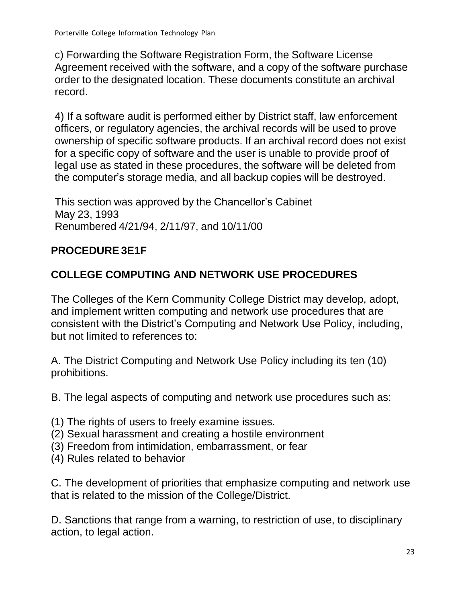c) Forwarding the Software Registration Form, the Software License Agreement received with the software, and a copy of the software purchase order to the designated location. These documents constitute an archival record.

4) If a software audit is performed either by District staff, law enforcement officers, or regulatory agencies, the archival records will be used to prove ownership of specific software products. If an archival record does not exist for a specific copy of software and the user is unable to provide proof of legal use as stated in these procedures, the software will be deleted from the computer's storage media, and all backup copies will be destroyed.

This section was approved by the Chancellor's Cabinet May 23, 1993 Renumbered 4/21/94, 2/11/97, and 10/11/00

# **PROCEDURE 3E1F**

# **COLLEGE COMPUTING AND NETWORK USE PROCEDURES**

The Colleges of the Kern Community College District may develop, adopt, and implement written computing and network use procedures that are consistent with the District's Computing and Network Use Policy, including, but not limited to references to:

A. The District Computing and Network Use Policy including its ten (10) prohibitions.

B. The legal aspects of computing and network use procedures such as:

- (1) The rights of users to freely examine issues.
- (2) Sexual harassment and creating a hostile environment
- (3) Freedom from intimidation, embarrassment, or fear
- (4) Rules related to behavior

C. The development of priorities that emphasize computing and network use that is related to the mission of the College/District.

D. Sanctions that range from a warning, to restriction of use, to disciplinary action, to legal action.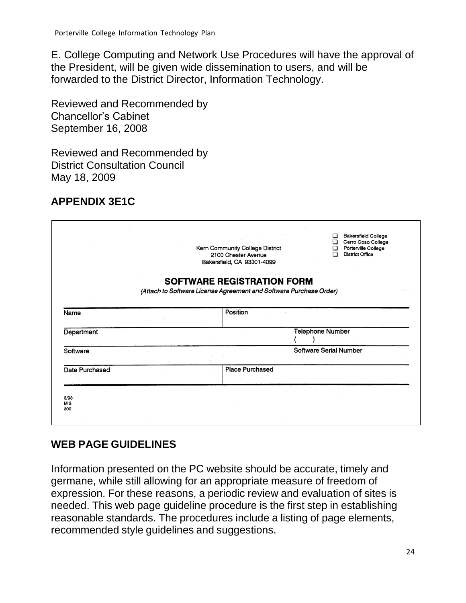E. College Computing and Network Use Procedures will have the approval of the President, will be given wide dissemination to users, and will be forwarded to the District Director, Information Technology.

Reviewed and Recommended by Chancellor's Cabinet September 16, 2008

Reviewed and Recommended by District Consultation Council May 18, 2009

#### **APPENDIX 3E1C**

|                           |                                                                    | Kern Community College District<br>2100 Chester Avenue<br>Bakersfield, CA 93301-4099 | П<br>◻                        | <b>Bakersfield College</b><br>Cerro Coso College<br>Porterville College<br><b>District Office</b> |
|---------------------------|--------------------------------------------------------------------|--------------------------------------------------------------------------------------|-------------------------------|---------------------------------------------------------------------------------------------------|
|                           | (Attach to Software License Agreement and Software Purchase Order) | <b>SOFTWARE REGISTRATION FORM</b>                                                    |                               |                                                                                                   |
| Name                      |                                                                    | Position                                                                             |                               |                                                                                                   |
| Department                |                                                                    |                                                                                      | <b>Telephone Number</b>       |                                                                                                   |
| Software                  |                                                                    |                                                                                      | <b>Software Serial Number</b> |                                                                                                   |
| Date Purchased            |                                                                    | <b>Place Purchased</b>                                                               |                               |                                                                                                   |
| 3/93<br><b>MIS</b><br>300 |                                                                    |                                                                                      |                               |                                                                                                   |

#### <span id="page-25-0"></span>**WEB PAGE GUIDELINES**

Information presented on the PC website should be accurate, timely and germane, while still allowing for an appropriate measure of freedom of expression. For these reasons, a periodic review and evaluation of sites is needed. This web page guideline procedure is the first step in establishing reasonable standards. The procedures include a listing of page elements, recommended style guidelines and suggestions.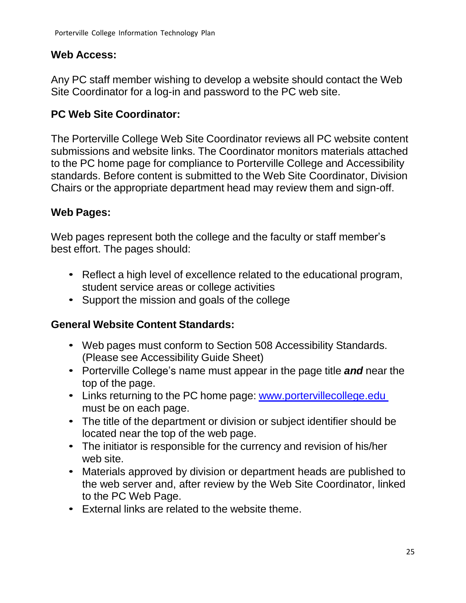#### **Web Access:**

Any PC staff member wishing to develop a website should contact the Web Site Coordinator for a log-in and password to the PC web site.

#### **PC Web Site Coordinator:**

The Porterville College Web Site Coordinator reviews all PC website content submissions and website links. The Coordinator monitors materials attached to the PC home page for compliance to Porterville College and Accessibility standards. Before content is submitted to the Web Site Coordinator, Division Chairs or the appropriate department head may review them and sign-off.

#### **Web Pages:**

Web pages represent both the college and the faculty or staff member's best effort. The pages should:

- Reflect a high level of excellence related to the educational program, student service areas or college activities
- Support the mission and goals of the college

#### **General Website Content Standards:**

- Web pages must conform to Section 508 Accessibility Standards. (Please see Accessibility Guide Sheet)
- Porterville College's name must appear in the page title *and* near the top of the page.
- Links returning to the PC home page: [www.portervillecollege.edu](http://www.portervillecollege.edu/) must be on each page.
- The title of the department or division or subject identifier should be located near the top of the web page.
- The initiator is responsible for the currency and revision of his/her web site.
- Materials approved by division or department heads are published to the web server and, after review by the Web Site Coordinator, linked to the PC Web Page.
- External links are related to the website theme.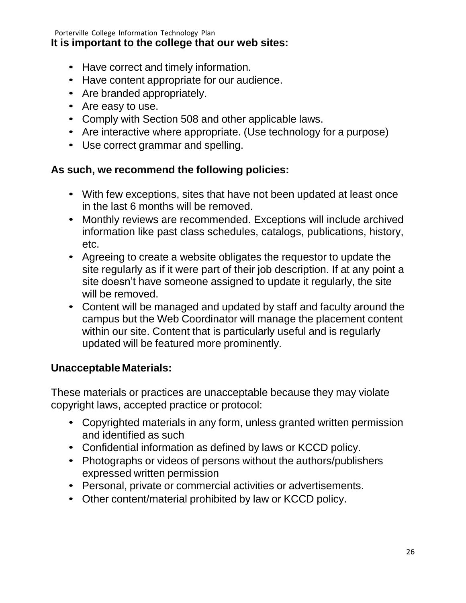#### **It is important to the college that our web sites:**

- Have correct and timely information.
- Have content appropriate for our audience.
- Are branded appropriately.
- Are easy to use.
- Comply with Section 508 and other applicable laws.
- Are interactive where appropriate. (Use technology for a purpose)
- Use correct grammar and spelling.

#### **As such, we recommend the following policies:**

- With few exceptions, sites that have not been updated at least once in the last 6 months will be removed.
- Monthly reviews are recommended. Exceptions will include archived information like past class schedules, catalogs, publications, history, etc.
- Agreeing to create a website obligates the requestor to update the site regularly as if it were part of their job description. If at any point a site doesn't have someone assigned to update it regularly, the site will be removed.
- Content will be managed and updated by staff and faculty around the campus but the Web Coordinator will manage the placement content within our site. Content that is particularly useful and is regularly updated will be featured more prominently.

#### **Unacceptable Materials:**

These materials or practices are unacceptable because they may violate copyright laws, accepted practice or protocol:

- Copyrighted materials in any form, unless granted written permission and identified as such
- Confidential information as defined by laws or KCCD policy.
- Photographs or videos of persons without the authors/publishers expressed written permission
- Personal, private or commercial activities or advertisements.
- Other content/material prohibited by law or KCCD policy.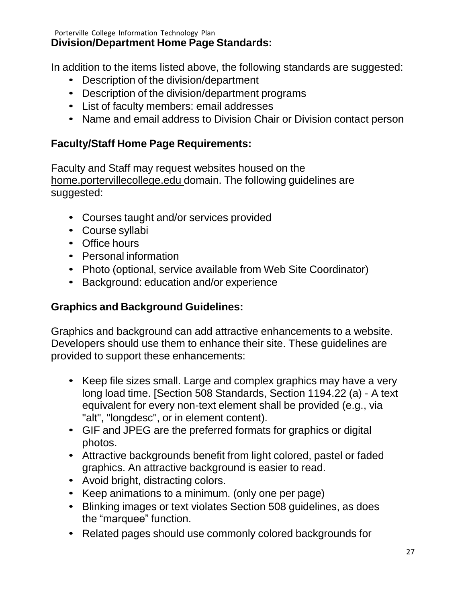Porterville College Information Technology Plan **Division/Department Home Page Standards:**

In addition to the items listed above, the following standards are suggested:

- Description of the division/department
- Description of the division/department programs
- List of faculty members: email addresses
- Name and email address to Division Chair or Division contact person

#### **Faculty/Staff Home Page Requirements:**

Faculty and Staff may request websites housed on the home.portervillecollege.edu domain. The following guidelines are suggested:

- Courses taught and/or services provided
- Course syllabi
- Office hours
- Personal information
- Photo (optional, service available from Web Site Coordinator)
- Background: education and/or experience

#### **Graphics and Background Guidelines:**

Graphics and background can add attractive enhancements to a website. Developers should use them to enhance their site. These guidelines are provided to support these enhancements:

- Keep file sizes small. Large and complex graphics may have a very long load time. [Section 508 Standards, Section 1194.22 (a) - A text equivalent for every non-text element shall be provided (e.g., via "alt", "longdesc", or in element content).
- GIF and JPEG are the preferred formats for graphics or digital photos.
- Attractive backgrounds benefit from light colored, pastel or faded graphics. An attractive background is easier to read.
- Avoid bright, distracting colors.
- Keep animations to a minimum. (only one per page)
- Blinking images or text violates Section 508 guidelines, as does the "marquee" function.
- Related pages should use commonly colored backgrounds for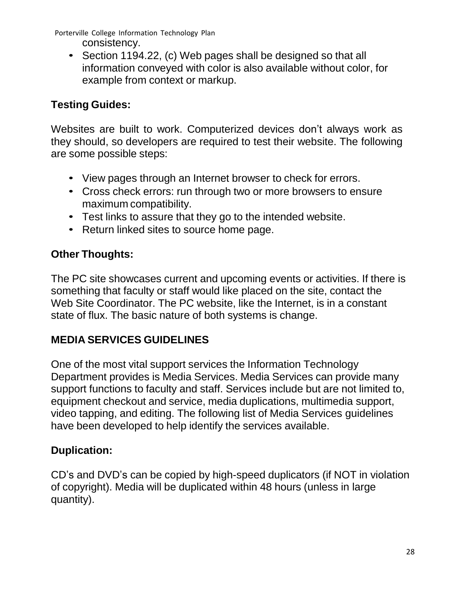Porterville College Information Technology Plan consistency.

• Section 1194.22, (c) Web pages shall be designed so that all information conveyed with color is also available without color, for example from context or markup.

# **Testing Guides:**

Websites are built to work. Computerized devices don't always work as they should, so developers are required to test their website. The following are some possible steps:

- View pages through an Internet browser to check for errors.
- Cross check errors: run through two or more browsers to ensure maximum compatibility.
- Test links to assure that they go to the intended website.
- Return linked sites to source home page.

# **Other Thoughts:**

The PC site showcases current and upcoming events or activities. If there is something that faculty or staff would like placed on the site, contact the Web Site Coordinator. The PC website, like the Internet, is in a constant state of flux. The basic nature of both systems is change.

# <span id="page-29-0"></span>**MEDIA SERVICES GUIDELINES**

One of the most vital support services the Information Technology Department provides is Media Services. Media Services can provide many support functions to faculty and staff. Services include but are not limited to, equipment checkout and service, media duplications, multimedia support, video tapping, and editing. The following list of Media Services guidelines have been developed to help identify the services available.

# **Duplication:**

CD's and DVD's can be copied by high-speed duplicators (if NOT in violation of copyright). Media will be duplicated within 48 hours (unless in large quantity).